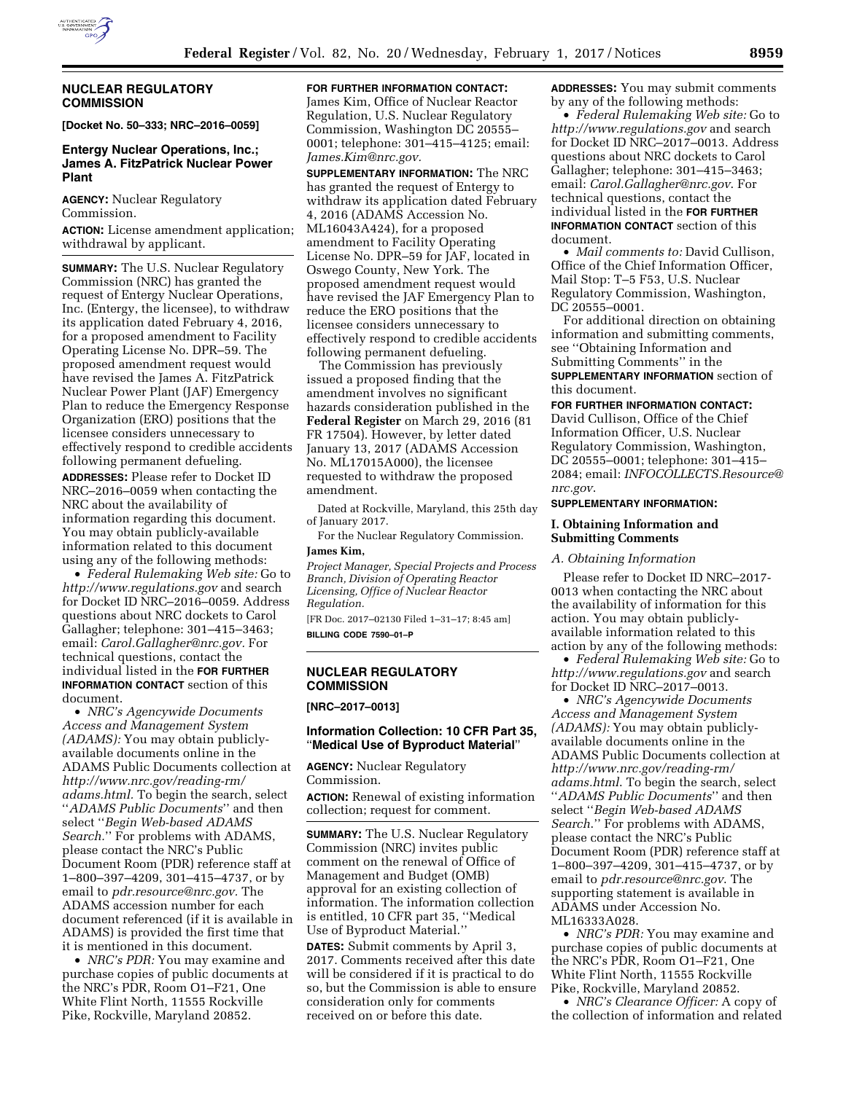

## **NUCLEAR REGULATORY COMMISSION**

**[Docket No. 50–333; NRC–2016–0059]** 

# **Entergy Nuclear Operations, Inc.; James A. FitzPatrick Nuclear Power Plant**

**AGENCY:** Nuclear Regulatory Commission.

**ACTION:** License amendment application; withdrawal by applicant.

**SUMMARY:** The U.S. Nuclear Regulatory Commission (NRC) has granted the request of Entergy Nuclear Operations, Inc. (Entergy, the licensee), to withdraw its application dated February 4, 2016, for a proposed amendment to Facility Operating License No. DPR–59. The proposed amendment request would have revised the James A. FitzPatrick Nuclear Power Plant (JAF) Emergency Plan to reduce the Emergency Response Organization (ERO) positions that the licensee considers unnecessary to effectively respond to credible accidents following permanent defueling.

**ADDRESSES:** Please refer to Docket ID NRC–2016–0059 when contacting the NRC about the availability of information regarding this document. You may obtain publicly-available information related to this document using any of the following methods:

• *Federal Rulemaking Web site:* Go to *<http://www.regulations.gov>* and search for Docket ID NRC–2016–0059. Address questions about NRC dockets to Carol Gallagher; telephone: 301–415–3463; email: *[Carol.Gallagher@nrc.gov.](mailto:Carol.Gallagher@nrc.gov)* For technical questions, contact the individual listed in the **FOR FURTHER INFORMATION CONTACT** section of this document.

• *NRC's Agencywide Documents Access and Management System (ADAMS):* You may obtain publiclyavailable documents online in the ADAMS Public Documents collection at *[http://www.nrc.gov/reading-rm/](http://www.nrc.gov/reading-rm/adams.html)  [adams.html.](http://www.nrc.gov/reading-rm/adams.html)* To begin the search, select ''*ADAMS Public Documents*'' and then select ''*Begin Web-based ADAMS Search.*'' For problems with ADAMS, please contact the NRC's Public Document Room (PDR) reference staff at 1–800–397–4209, 301–415–4737, or by email to *[pdr.resource@nrc.gov.](mailto:pdr.resource@nrc.gov)* The ADAMS accession number for each document referenced (if it is available in ADAMS) is provided the first time that it is mentioned in this document.

• *NRC's PDR:* You may examine and purchase copies of public documents at the NRC's PDR, Room O1–F21, One White Flint North, 11555 Rockville Pike, Rockville, Maryland 20852.

# **FOR FURTHER INFORMATION CONTACT:**

James Kim, Office of Nuclear Reactor Regulation, U.S. Nuclear Regulatory Commission, Washington DC 20555– 0001; telephone: 301–415–4125; email: *[James.Kim@nrc.gov.](mailto:James.Kim@nrc.gov)* 

**SUPPLEMENTARY INFORMATION:** The NRC has granted the request of Entergy to withdraw its application dated February 4, 2016 (ADAMS Accession No. ML16043A424), for a proposed amendment to Facility Operating License No. DPR–59 for JAF, located in Oswego County, New York. The proposed amendment request would have revised the JAF Emergency Plan to reduce the ERO positions that the licensee considers unnecessary to effectively respond to credible accidents following permanent defueling.

The Commission has previously issued a proposed finding that the amendment involves no significant hazards consideration published in the **Federal Register** on March 29, 2016 (81 FR 17504). However, by letter dated January 13, 2017 (ADAMS Accession No. ML17015A000), the licensee requested to withdraw the proposed amendment.

Dated at Rockville, Maryland, this 25th day of January 2017.

For the Nuclear Regulatory Commission. **James Kim,** 

*Project Manager, Special Projects and Process Branch, Division of Operating Reactor Licensing, Office of Nuclear Reactor Regulation.* 

[FR Doc. 2017–02130 Filed 1–31–17; 8:45 am] **BILLING CODE 7590–01–P** 

### **NUCLEAR REGULATORY COMMISSION**

**[NRC–2017–0013]** 

## **Information Collection: 10 CFR Part 35,**  ''**Medical Use of Byproduct Material**''

**AGENCY:** Nuclear Regulatory Commission.

**ACTION:** Renewal of existing information collection; request for comment.

**SUMMARY:** The U.S. Nuclear Regulatory Commission (NRC) invites public comment on the renewal of Office of Management and Budget (OMB) approval for an existing collection of information. The information collection is entitled, 10 CFR part 35, ''Medical Use of Byproduct Material.''

**DATES:** Submit comments by April 3, 2017. Comments received after this date will be considered if it is practical to do so, but the Commission is able to ensure consideration only for comments received on or before this date.

**ADDRESSES:** You may submit comments by any of the following methods:

• *Federal Rulemaking Web site:* Go to *<http://www.regulations.gov>* and search for Docket ID NRC–2017–0013. Address questions about NRC dockets to Carol Gallagher; telephone: 301–415–3463; email: *[Carol.Gallagher@nrc.gov](mailto:Carol.Gallagher@nrc.gov)*. For technical questions, contact the individual listed in the **FOR FURTHER**

**INFORMATION CONTACT** section of this document.

• *Mail comments to:* David Cullison, Office of the Chief Information Officer, Mail Stop: T–5 F53, U.S. Nuclear Regulatory Commission, Washington, DC 20555–0001.

For additional direction on obtaining information and submitting comments, see ''Obtaining Information and Submitting Comments'' in the **SUPPLEMENTARY INFORMATION** section of this document.

### **FOR FURTHER INFORMATION CONTACT:**

David Cullison, Office of the Chief Information Officer, U.S. Nuclear Regulatory Commission, Washington, DC 20555–0001; telephone: 301–415– 2084; email: *[INFOCOLLECTS.Resource@](mailto:INFOCOLLECTS.Resource@nrc.gov) [nrc.gov](mailto:INFOCOLLECTS.Resource@nrc.gov)*.

#### **SUPPLEMENTARY INFORMATION:**

## **I. Obtaining Information and Submitting Comments**

### *A. Obtaining Information*

Please refer to Docket ID NRC–2017- 0013 when contacting the NRC about the availability of information for this action. You may obtain publiclyavailable information related to this action by any of the following methods:

• *Federal Rulemaking Web site:* Go to *<http://www.regulations.gov>* and search for Docket ID NRC–2017–0013.

• *NRC's Agencywide Documents Access and Management System (ADAMS):* You may obtain publiclyavailable documents online in the ADAMS Public Documents collection at *[http://www.nrc.gov/reading-rm/](http://www.nrc.gov/reading-rm/adams.html)  [adams.html](http://www.nrc.gov/reading-rm/adams.html)*. To begin the search, select ''*ADAMS Public Documents*'' and then select ''*Begin Web-based ADAMS Search*.'' For problems with ADAMS, please contact the NRC's Public Document Room (PDR) reference staff at 1–800–397–4209, 301–415–4737, or by email to *[pdr.resource@nrc.gov](mailto:pdr.resource@nrc.gov)*. The supporting statement is available in ADAMS under Accession No. ML16333A028.

• *NRC's PDR:* You may examine and purchase copies of public documents at the NRC's PDR, Room O1–F21, One White Flint North, 11555 Rockville Pike, Rockville, Maryland 20852.

• *NRC's Clearance Officer:* A copy of the collection of information and related